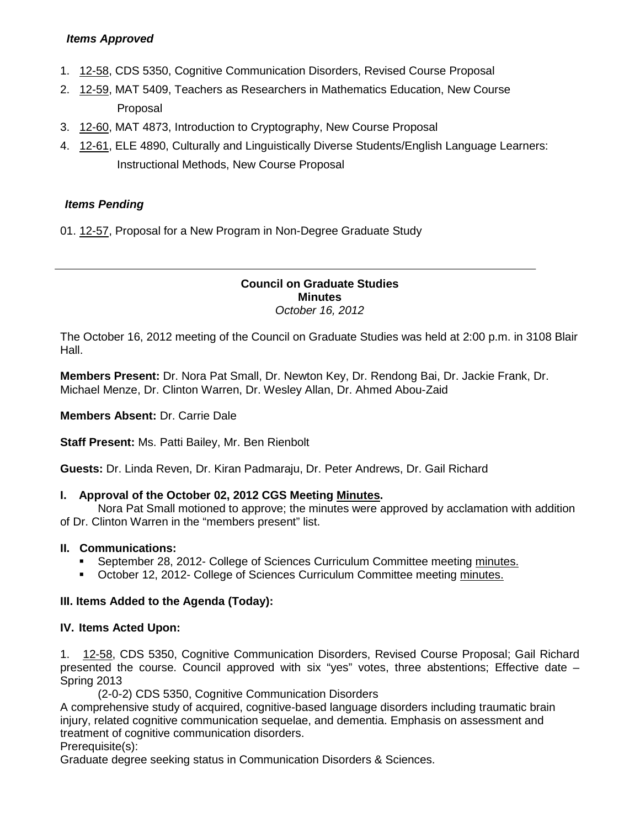# *Items Approved*

- 1. [12-58,](http://castle.eiu.edu/~eiucgs/currentagendaitems/agenda12-58.pdf) CDS 5350, Cognitive Communication Disorders, Revised Course Proposal
- 2. [12-59,](http://castle.eiu.edu/~eiucgs/currentagendaitems/agenda12-59.pdf) MAT 5409, Teachers as Researchers in Mathematics Education, New Course Proposal
- 3. [12-60,](http://castle.eiu.edu/~eiucgs/currentagendaitems/agenda12-60.pdf) MAT 4873, Introduction to Cryptography, New Course Proposal
- 4. [12-61,](http://castle.eiu.edu/~eiucgs/currentagendaitems/agenda12-61.pdf) ELE 4890, Culturally and Linguistically Diverse Students/English Language Learners: Instructional Methods, New Course Proposal

# *Items Pending*

01. [12-57,](http://castle.eiu.edu/~eiucgs/currentagendaitems/agenda12-57.pdf) Proposal for a New Program in Non-Degree Graduate Study

#### **Council on Graduate Studies Minutes** *October 16, 2012*

The October 16, 2012 meeting of the Council on Graduate Studies was held at 2:00 p.m. in 3108 Blair Hall.

**Members Present:** Dr. Nora Pat Small, Dr. Newton Key, Dr. Rendong Bai, Dr. Jackie Frank, Dr. Michael Menze, Dr. Clinton Warren, Dr. Wesley Allan, Dr. Ahmed Abou-Zaid

**Members Absent:** Dr. Carrie Dale

**Staff Present:** Ms. Patti Bailey, Mr. Ben Rienbolt

**Guests:** Dr. Linda Reven, Dr. Kiran Padmaraju, Dr. Peter Andrews, Dr. Gail Richard

### **I. Approval of the October 02, 2012 CGS Meeting [Minutes.](http://castle.eiu.edu/eiucgs/currentminutes/Minutes4-24-12.pdf)**

Nora Pat Small motioned to approve; the minutes were approved by acclamation with addition of Dr. Clinton Warren in the "members present" list.

### **II. Communications:**

- September 28, 2012- College of Sciences Curriculum Committee meeting [minutes.](http://castle.eiu.edu/~eiucgs/currentagendaitems/COSMin9-28-12.pdf)
- October 12, 2012- College of Sciences Curriculum Committee meeting [minutes.](http://castle.eiu.edu/~eiucgs/currentagendaitems/COSMin10-12-12.pdf)

### **III. Items Added to the Agenda (Today):**

### **IV. Items Acted Upon:**

1. [12-58,](http://castle.eiu.edu/~eiucgs/currentagendaitems/agenda12-58.pdf) CDS 5350, Cognitive Communication Disorders, Revised Course Proposal; Gail Richard presented the course. Council approved with six "yes" votes, three abstentions; Effective date – Spring 2013

(2-0-2) CDS 5350, Cognitive Communication Disorders

A comprehensive study of acquired, cognitive-based language disorders including traumatic brain injury, related cognitive communication sequelae, and dementia. Emphasis on assessment and treatment of cognitive communication disorders.

Prerequisite(s):

Graduate degree seeking status in Communication Disorders & Sciences.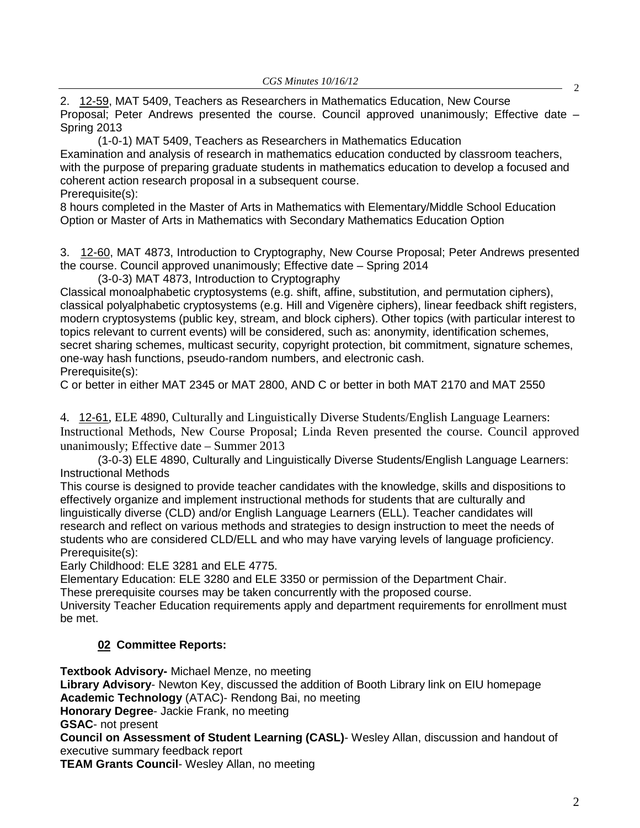2. [12-59,](http://castle.eiu.edu/~eiucgs/currentagendaitems/agenda12-59.pdf) MAT 5409, Teachers as Researchers in Mathematics Education, New Course Proposal; Peter Andrews presented the course. Council approved unanimously; Effective date – Spring 2013

(1-0-1) MAT 5409, Teachers as Researchers in Mathematics Education Examination and analysis of research in mathematics education conducted by classroom teachers, with the purpose of preparing graduate students in mathematics education to develop a focused and coherent action research proposal in a subsequent course. Prerequisite(s):

8 hours completed in the Master of Arts in Mathematics with Elementary/Middle School Education Option or Master of Arts in Mathematics with Secondary Mathematics Education Option

3. [12-60,](http://castle.eiu.edu/~eiucgs/currentagendaitems/agenda12-60.pdf) MAT 4873, Introduction to Cryptography, New Course Proposal; Peter Andrews presented the course. Council approved unanimously; Effective date – Spring 2014

(3-0-3) MAT 4873, Introduction to Cryptography

Classical monoalphabetic cryptosystems (e.g. shift, affine, substitution, and permutation ciphers), classical polyalphabetic cryptosystems (e.g. Hill and Vigenère ciphers), linear feedback shift registers, modern cryptosystems (public key, stream, and block ciphers). Other topics (with particular interest to topics relevant to current events) will be considered, such as: anonymity, identification schemes, secret sharing schemes, multicast security, copyright protection, bit commitment, signature schemes, one-way hash functions, pseudo-random numbers, and electronic cash. Prerequisite(s):

C or better in either MAT 2345 or MAT 2800, AND C or better in both MAT 2170 and MAT 2550

4. [12-61](http://castle.eiu.edu/~eiucgs/currentagendaitems/agenda12-61.pdf), ELE 4890, Culturally and Linguistically Diverse Students/English Language Learners: Instructional Methods, New Course Proposal; Linda Reven presented the course. Council approved unanimously; Effective date – Summer 2013

(3-0-3) ELE 4890, Culturally and Linguistically Diverse Students/English Language Learners: Instructional Methods

This course is designed to provide teacher candidates with the knowledge, skills and dispositions to effectively organize and implement instructional methods for students that are culturally and linguistically diverse (CLD) and/or English Language Learners (ELL). Teacher candidates will research and reflect on various methods and strategies to design instruction to meet the needs of students who are considered CLD/ELL and who may have varying levels of language proficiency. Prerequisite(s):

Early Childhood: ELE 3281 and ELE 4775.

Elementary Education: ELE 3280 and ELE 3350 or permission of the Department Chair.

These prerequisite courses may be taken concurrently with the proposed course.

University Teacher Education requirements apply and department requirements for enrollment must be met.

# **02 Committee Reports:**

**Textbook Advisory-** Michael Menze, no meeting **Library Advisory**- Newton Key, discussed the addition of Booth Library link on EIU homepage **Academic Technology** (ATAC)- Rendong Bai, no meeting

**Honorary Degree**- Jackie Frank, no meeting

**GSAC**- not present

**Council on Assessment of Student Learning (CASL)**- Wesley Allan, discussion and handout of executive summary feedback report

**TEAM Grants Council**- Wesley Allan, no meeting

2